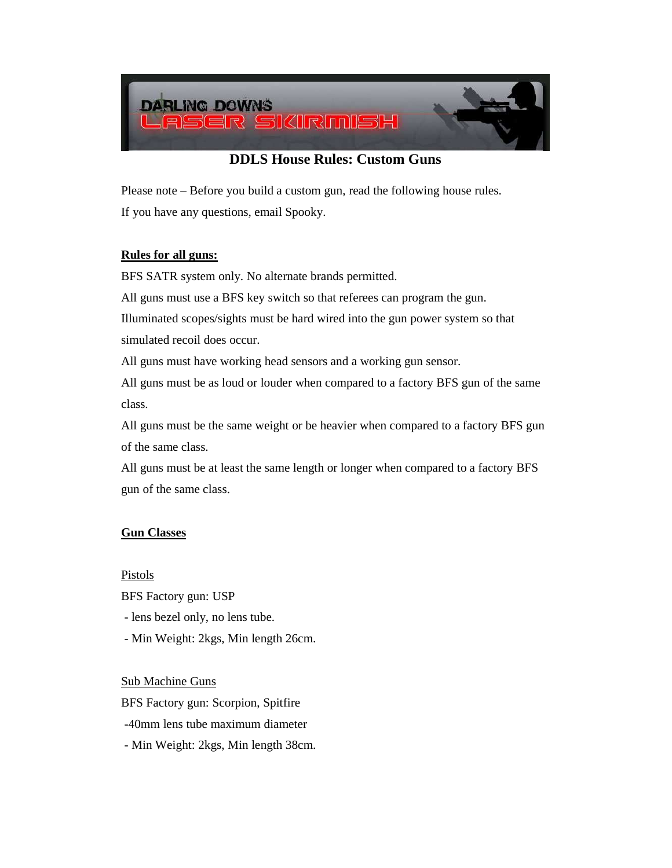

# **DDLS House Rules: Custom Guns**

Please note – Before you build a custom gun, read the following house rules. If you have any questions, email Spooky.

## **Rules for all guns:**

BFS SATR system only. No alternate brands permitted.

All guns must use a BFS key switch so that referees can program the gun.

Illuminated scopes/sights must be hard wired into the gun power system so that simulated recoil does occur.

All guns must have working head sensors and a working gun sensor.

All guns must be as loud or louder when compared to a factory BFS gun of the same class.

All guns must be the same weight or be heavier when compared to a factory BFS gun of the same class.

All guns must be at least the same length or longer when compared to a factory BFS gun of the same class.

## **Gun Classes**

Pistols

BFS Factory gun: USP

- lens bezel only, no lens tube.
- Min Weight: 2kgs, Min length 26cm.

#### Sub Machine Guns

BFS Factory gun: Scorpion, Spitfire

-40mm lens tube maximum diameter

- Min Weight: 2kgs, Min length 38cm.